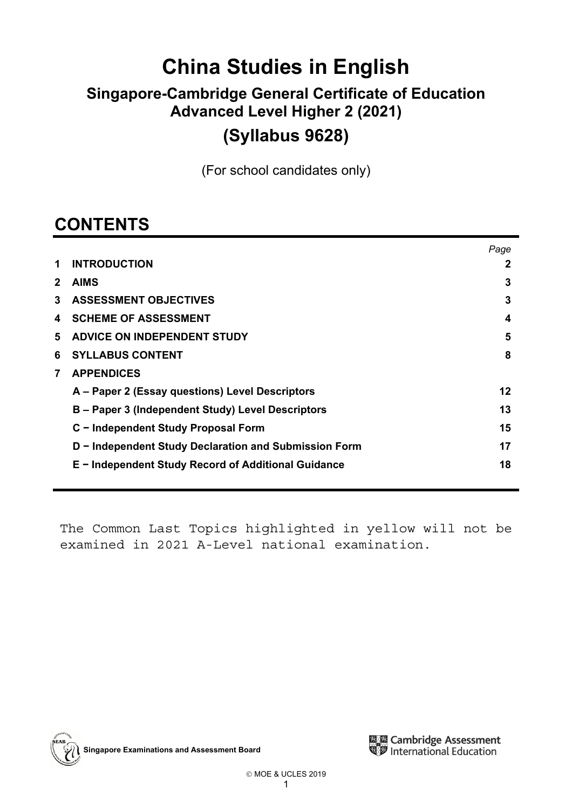# **China Studies in English**

# **Singapore-Cambridge General Certificate of Education Advanced Level Higher 2 (2021)**

# **(Syllabus 9628)**

(For school candidates only)

# **CONTENTS**

|              |                                                       | Paae |
|--------------|-------------------------------------------------------|------|
| 1            | <b>INTRODUCTION</b>                                   | 2    |
| $\mathbf{2}$ | <b>AIMS</b>                                           | 3    |
| 3            | <b>ASSESSMENT OBJECTIVES</b>                          | 3    |
| 4            | <b>SCHEME OF ASSESSMENT</b>                           | 4    |
| 5            | <b>ADVICE ON INDEPENDENT STUDY</b>                    | 5    |
| 6            | <b>SYLLABUS CONTENT</b>                               | 8    |
| 7            | <b>APPENDICES</b>                                     |      |
|              | A – Paper 2 (Essay questions) Level Descriptors       | 12   |
|              | B – Paper 3 (Independent Study) Level Descriptors     | 13   |
|              | C - Independent Study Proposal Form                   | 15   |
|              | D - Independent Study Declaration and Submission Form | 17   |
|              | E - Independent Study Record of Additional Guidance   | 18   |

The Common Last Topics highlighted in yellow will not be examined in 2021 A-Level national examination.



**Singapore Examinations and Assessment Board**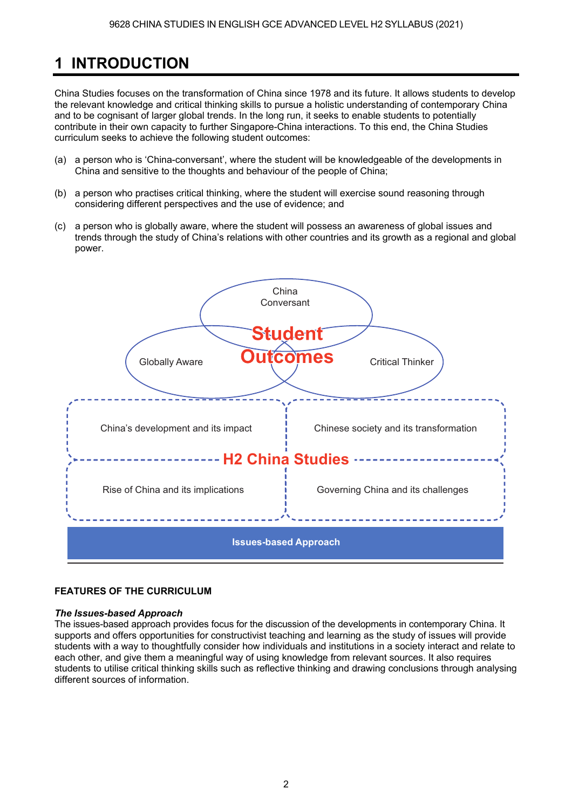# **1 INTRODUCTION**

China Studies focuses on the transformation of China since 1978 and its future. It allows students to develop the relevant knowledge and critical thinking skills to pursue a holistic understanding of contemporary China and to be cognisant of larger global trends. In the long run, it seeks to enable students to potentially contribute in their own capacity to further Singapore-China interactions. To this end, the China Studies curriculum seeks to achieve the following student outcomes:

- (a) a person who is 'China-conversant', where the student will be knowledgeable of the developments in China and sensitive to the thoughts and behaviour of the people of China;
- (b) a person who practises critical thinking, where the student will exercise sound reasoning through considering different perspectives and the use of evidence; and
- (c) a person who is globally aware, where the student will possess an awareness of global issues and trends through the study of China's relations with other countries and its growth as a regional and global power.



## **FEATURES OF THE CURRICULUM**

## *The Issues-based Approach*

The issues-based approach provides focus for the discussion of the developments in contemporary China. It supports and offers opportunities for constructivist teaching and learning as the study of issues will provide students with a way to thoughtfully consider how individuals and institutions in a society interact and relate to each other, and give them a meaningful way of using knowledge from relevant sources. It also requires students to utilise critical thinking skills such as reflective thinking and drawing conclusions through analysing different sources of information.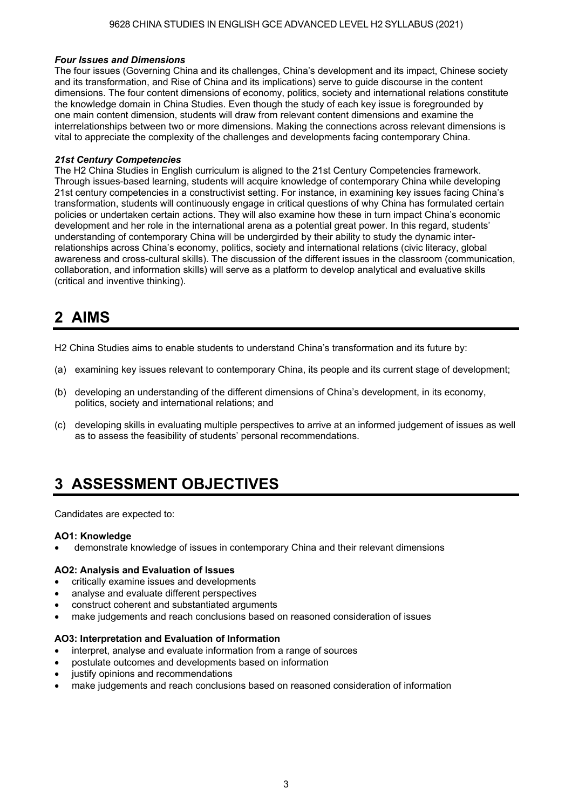#### *Four Issues and Dimensions*

The four issues (Governing China and its challenges, China's development and its impact, Chinese society and its transformation, and Rise of China and its implications) serve to guide discourse in the content dimensions. The four content dimensions of economy, politics, society and international relations constitute the knowledge domain in China Studies. Even though the study of each key issue is foregrounded by one main content dimension, students will draw from relevant content dimensions and examine the interrelationships between two or more dimensions. Making the connections across relevant dimensions is vital to appreciate the complexity of the challenges and developments facing contemporary China.

#### *21st Century Competencies*

The H2 China Studies in English curriculum is aligned to the 21st Century Competencies framework. Through issues-based learning, students will acquire knowledge of contemporary China while developing 21st century competencies in a constructivist setting. For instance, in examining key issues facing China's transformation, students will continuously engage in critical questions of why China has formulated certain policies or undertaken certain actions. They will also examine how these in turn impact China's economic development and her role in the international arena as a potential great power. In this regard, students' understanding of contemporary China will be undergirded by their ability to study the dynamic interrelationships across China's economy, politics, society and international relations (civic literacy, global awareness and cross-cultural skills). The discussion of the different issues in the classroom (communication, collaboration, and information skills) will serve as a platform to develop analytical and evaluative skills (critical and inventive thinking).

# **2 AIMS**

H2 China Studies aims to enable students to understand China's transformation and its future by:

- (a) examining key issues relevant to contemporary China, its people and its current stage of development;
- (b) developing an understanding of the different dimensions of China's development, in its economy, politics, society and international relations; and
- (c) developing skills in evaluating multiple perspectives to arrive at an informed judgement of issues as well as to assess the feasibility of students' personal recommendations.

# **3 ASSESSMENT OBJECTIVES**

Candidates are expected to:

#### **AO1: Knowledge**

demonstrate knowledge of issues in contemporary China and their relevant dimensions

#### **AO2: Analysis and Evaluation of Issues**

- critically examine issues and developments
- analyse and evaluate different perspectives
- construct coherent and substantiated arguments
- make judgements and reach conclusions based on reasoned consideration of issues

#### **AO3: Interpretation and Evaluation of Information**

- interpret, analyse and evaluate information from a range of sources
- postulate outcomes and developments based on information
- justify opinions and recommendations
- make judgements and reach conclusions based on reasoned consideration of information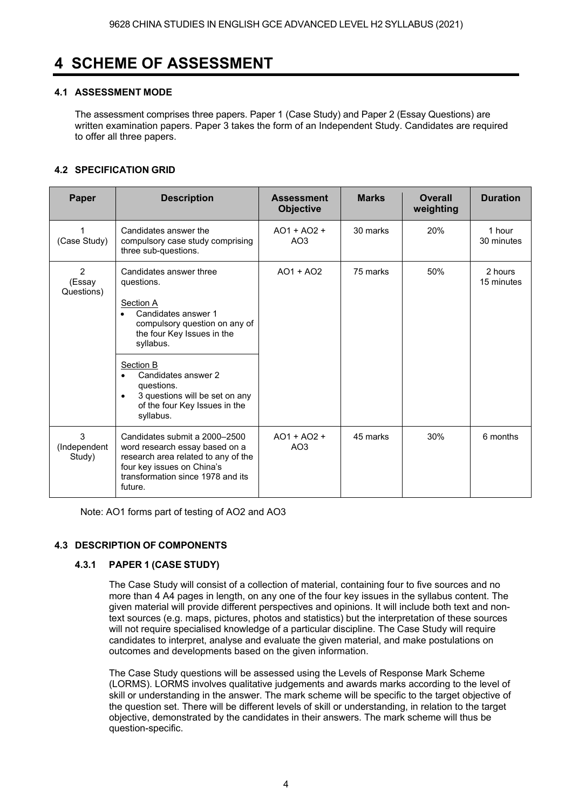# **4 SCHEME OF ASSESSMENT**

# **4.1 ASSESSMENT MODE**

The assessment comprises three papers. Paper 1 (Case Study) and Paper 2 (Essay Questions) are written examination papers. Paper 3 takes the form of an Independent Study. Candidates are required to offer all three papers.

# **4.2 SPECIFICATION GRID**

| Paper                                  | <b>Description</b>                                                                                                                                                                                                                                                                                                | <b>Assessment</b><br><b>Objective</b> | <b>Marks</b> | <b>Overall</b><br>weighting | <b>Duration</b>       |
|----------------------------------------|-------------------------------------------------------------------------------------------------------------------------------------------------------------------------------------------------------------------------------------------------------------------------------------------------------------------|---------------------------------------|--------------|-----------------------------|-----------------------|
| (Case Study)                           | Candidates answer the<br>compulsory case study comprising<br>three sub-questions.                                                                                                                                                                                                                                 | $AO1 + AO2 +$<br>AO <sub>3</sub>      | 30 marks     | 20%                         | 1 hour<br>30 minutes  |
| $\overline{2}$<br>(Essay<br>Questions) | Candidates answer three<br>questions.<br>Section A<br>Candidates answer 1<br>compulsory question on any of<br>the four Key Issues in the<br>syllabus.<br>Section B<br>Candidates answer 2<br>$\bullet$<br>questions.<br>3 questions will be set on any<br>$\bullet$<br>of the four Key Issues in the<br>syllabus. | $AO1 + AO2$                           | 75 marks     | 50%                         | 2 hours<br>15 minutes |
| 3<br>(Independent<br>Study)            | Candidates submit a 2000-2500<br>word research essay based on a<br>research area related to any of the<br>four key issues on China's<br>transformation since 1978 and its<br>future.                                                                                                                              | $AO1 + AO2 +$<br>AO <sub>3</sub>      | 45 marks     | 30%                         | 6 months              |

Note: AO1 forms part of testing of AO2 and AO3

## **4.3 DESCRIPTION OF COMPONENTS**

## **4.3.1 PAPER 1 (CASE STUDY)**

The Case Study will consist of a collection of material, containing four to five sources and no more than 4 A4 pages in length, on any one of the four key issues in the syllabus content. The given material will provide different perspectives and opinions. It will include both text and nontext sources (e.g. maps, pictures, photos and statistics) but the interpretation of these sources will not require specialised knowledge of a particular discipline. The Case Study will require candidates to interpret, analyse and evaluate the given material, and make postulations on outcomes and developments based on the given information.

The Case Study questions will be assessed using the Levels of Response Mark Scheme (LORMS). LORMS involves qualitative judgements and awards marks according to the level of skill or understanding in the answer. The mark scheme will be specific to the target objective of the question set. There will be different levels of skill or understanding, in relation to the target objective, demonstrated by the candidates in their answers. The mark scheme will thus be question-specific.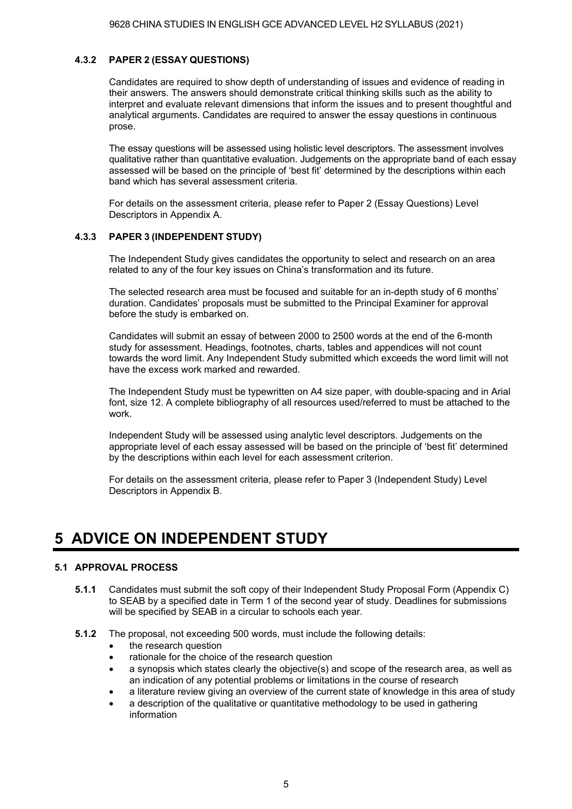#### **4.3.2 PAPER 2 (ESSAY QUESTIONS)**

Candidates are required to show depth of understanding of issues and evidence of reading in their answers. The answers should demonstrate critical thinking skills such as the ability to interpret and evaluate relevant dimensions that inform the issues and to present thoughtful and analytical arguments. Candidates are required to answer the essay questions in continuous prose.

The essay questions will be assessed using holistic level descriptors. The assessment involves qualitative rather than quantitative evaluation. Judgements on the appropriate band of each essay assessed will be based on the principle of 'best fit' determined by the descriptions within each band which has several assessment criteria.

For details on the assessment criteria, please refer to Paper 2 (Essay Questions) Level Descriptors in Appendix A.

#### **4.3.3 PAPER 3 (INDEPENDENT STUDY)**

The Independent Study gives candidates the opportunity to select and research on an area related to any of the four key issues on China's transformation and its future.

The selected research area must be focused and suitable for an in-depth study of 6 months duration. Candidates' proposals must be submitted to the Principal Examiner for approval before the study is embarked on.

Candidates will submit an essay of between 2000 to 2500 words at the end of the 6-month study for assessment. Headings, footnotes, charts, tables and appendices will not count towards the word limit. Any Independent Study submitted which exceeds the word limit will not have the excess work marked and rewarded.

The Independent Study must be typewritten on A4 size paper, with double-spacing and in Arial font, size 12. A complete bibliography of all resources used/referred to must be attached to the work.

Independent Study will be assessed using analytic level descriptors. Judgements on the appropriate level of each essay assessed will be based on the principle of 'best fit' determined by the descriptions within each level for each assessment criterion.

For details on the assessment criteria, please refer to Paper 3 (Independent Study) Level Descriptors in Appendix B.

# **5 ADVICE ON INDEPENDENT STUDY**

#### **5.1 APPROVAL PROCESS**

- **5.1.1** Candidates must submit the soft copy of their Independent Study Proposal Form (Appendix C) to SEAB by a specified date in Term 1 of the second year of study. Deadlines for submissions will be specified by SEAB in a circular to schools each year.
- **5.1.2** The proposal, not exceeding 500 words, must include the following details:
	- the research question
	- rationale for the choice of the research question
	- $\bullet$  a synopsis which states clearly the objective(s) and scope of the research area, as well as an indication of any potential problems or limitations in the course of research
	- a literature review giving an overview of the current state of knowledge in this area of study
	- a description of the qualitative or quantitative methodology to be used in gathering information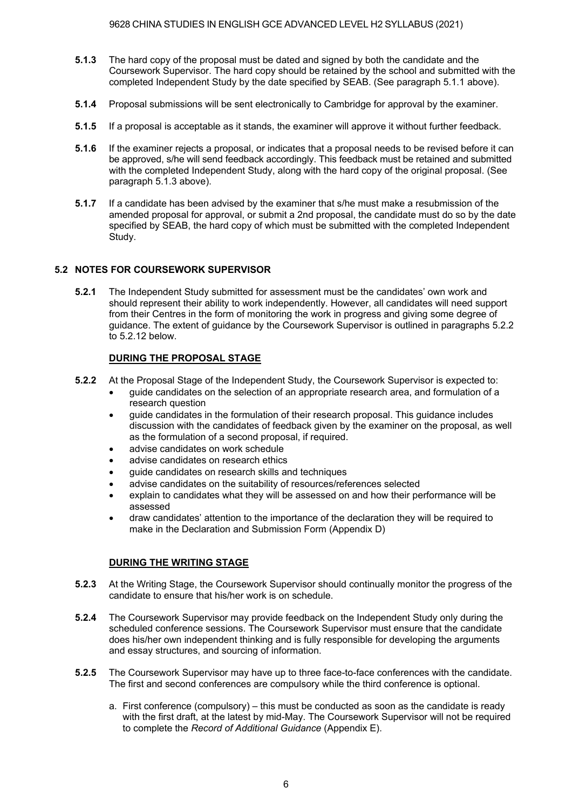- **5.1.3** The hard copy of the proposal must be dated and signed by both the candidate and the Coursework Supervisor. The hard copy should be retained by the school and submitted with the completed Independent Study by the date specified by SEAB. (See paragraph 5.1.1 above).
- **5.1.4** Proposal submissions will be sent electronically to Cambridge for approval by the examiner.
- **5.1.5** If a proposal is acceptable as it stands, the examiner will approve it without further feedback.
- **5.1.6** If the examiner rejects a proposal, or indicates that a proposal needs to be revised before it can be approved, s/he will send feedback accordingly. This feedback must be retained and submitted with the completed Independent Study, along with the hard copy of the original proposal. (See paragraph 5.1.3 above).
- **5.1.7** If a candidate has been advised by the examiner that s/he must make a resubmission of the amended proposal for approval, or submit a 2nd proposal, the candidate must do so by the date specified by SEAB, the hard copy of which must be submitted with the completed Independent Study.

#### **5.2 NOTES FOR COURSEWORK SUPERVISOR**

**5.2.1** The Independent Study submitted for assessment must be the candidates' own work and should represent their ability to work independently. However, all candidates will need support from their Centres in the form of monitoring the work in progress and giving some degree of guidance. The extent of guidance by the Coursework Supervisor is outlined in paragraphs 5.2.2 to 5.2.12 below.

#### **DURING THE PROPOSAL STAGE**

- **5.2.2** At the Proposal Stage of the Independent Study, the Coursework Supervisor is expected to:
	- guide candidates on the selection of an appropriate research area, and formulation of a research question
	- guide candidates in the formulation of their research proposal. This guidance includes discussion with the candidates of feedback given by the examiner on the proposal, as well as the formulation of a second proposal, if required.
	- advise candidates on work schedule
	- advise candidates on research ethics
	- guide candidates on research skills and techniques
	- advise candidates on the suitability of resources/references selected
	- explain to candidates what they will be assessed on and how their performance will be assessed
	- draw candidates' attention to the importance of the declaration they will be required to make in the Declaration and Submission Form (Appendix D)

## **DURING THE WRITING STAGE**

- **5.2.3** At the Writing Stage, the Coursework Supervisor should continually monitor the progress of the candidate to ensure that his/her work is on schedule.
- **5.2.4** The Coursework Supervisor may provide feedback on the Independent Study only during the scheduled conference sessions. The Coursework Supervisor must ensure that the candidate does his/her own independent thinking and is fully responsible for developing the arguments and essay structures, and sourcing of information.
- **5.2.5** The Coursework Supervisor may have up to three face-to-face conferences with the candidate. The first and second conferences are compulsory while the third conference is optional.
	- a. First conference (compulsory) this must be conducted as soon as the candidate is ready with the first draft, at the latest by mid-May. The Coursework Supervisor will not be required to complete the *Record of Additional Guidance* (Appendix E).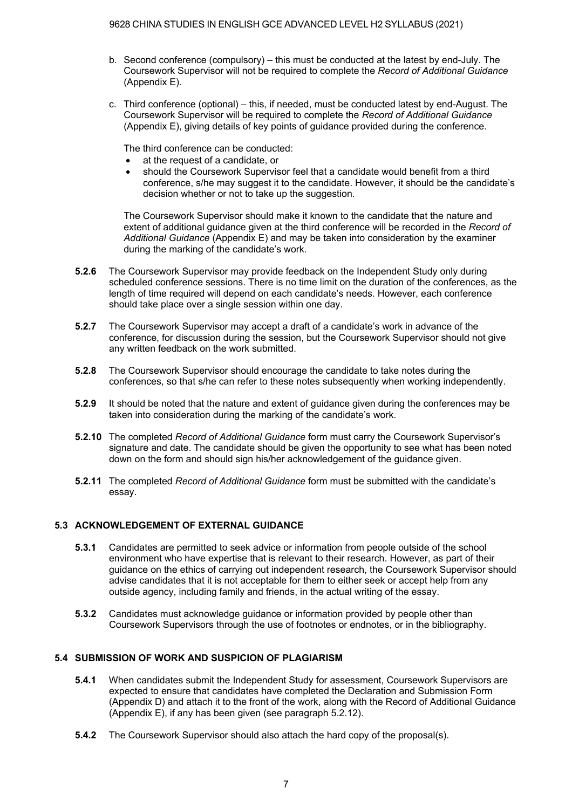- b. Second conference (compulsory) this must be conducted at the latest by end-July. The Coursework Supervisor will not be required to complete the *Record of Additional Guidance*  (Appendix E).
- c. Third conference (optional) this, if needed, must be conducted latest by end-August. The Coursework Supervisor will be required to complete the *Record of Additional Guidance*  (Appendix E), giving details of key points of guidance provided during the conference.

The third conference can be conducted:

- at the request of a candidate, or
- should the Coursework Supervisor feel that a candidate would benefit from a third conference, s/he may suggest it to the candidate. However, it should be the candidate's decision whether or not to take up the suggestion.

The Coursework Supervisor should make it known to the candidate that the nature and extent of additional guidance given at the third conference will be recorded in the *Record of Additional Guidance* (Appendix E) and may be taken into consideration by the examiner during the marking of the candidate's work.

- **5.2.6** The Coursework Supervisor may provide feedback on the Independent Study only during scheduled conference sessions. There is no time limit on the duration of the conferences, as the length of time required will depend on each candidate's needs. However, each conference should take place over a single session within one day.
- **5.2.7** The Coursework Supervisor may accept a draft of a candidate's work in advance of the conference, for discussion during the session, but the Coursework Supervisor should not give any written feedback on the work submitted.
- **5.2.8** The Coursework Supervisor should encourage the candidate to take notes during the conferences, so that s/he can refer to these notes subsequently when working independently.
- **5.2.9** It should be noted that the nature and extent of guidance given during the conferences may be taken into consideration during the marking of the candidate's work.
- **5.2.10** The completed *Record of Additional Guidance* form must carry the Coursework Supervisor's signature and date. The candidate should be given the opportunity to see what has been noted down on the form and should sign his/her acknowledgement of the guidance given.
- **5.2.11** The completed *Record of Additional Guidance* form must be submitted with the candidate's essay.

## **5.3 ACKNOWLEDGEMENT OF EXTERNAL GUIDANCE**

- **5.3.1** Candidates are permitted to seek advice or information from people outside of the school environment who have expertise that is relevant to their research. However, as part of their guidance on the ethics of carrying out independent research, the Coursework Supervisor should advise candidates that it is not acceptable for them to either seek or accept help from any outside agency, including family and friends, in the actual writing of the essay.
- **5.3.2** Candidates must acknowledge guidance or information provided by people other than Coursework Supervisors through the use of footnotes or endnotes, or in the bibliography.

# **5.4 SUBMISSION OF WORK AND SUSPICION OF PLAGIARISM**

- **5.4.1** When candidates submit the Independent Study for assessment, Coursework Supervisors are expected to ensure that candidates have completed the Declaration and Submission Form (Appendix D) and attach it to the front of the work, along with the Record of Additional Guidance (Appendix E), if any has been given (see paragraph 5.2.12).
- **5.4.2** The Coursework Supervisor should also attach the hard copy of the proposal(s).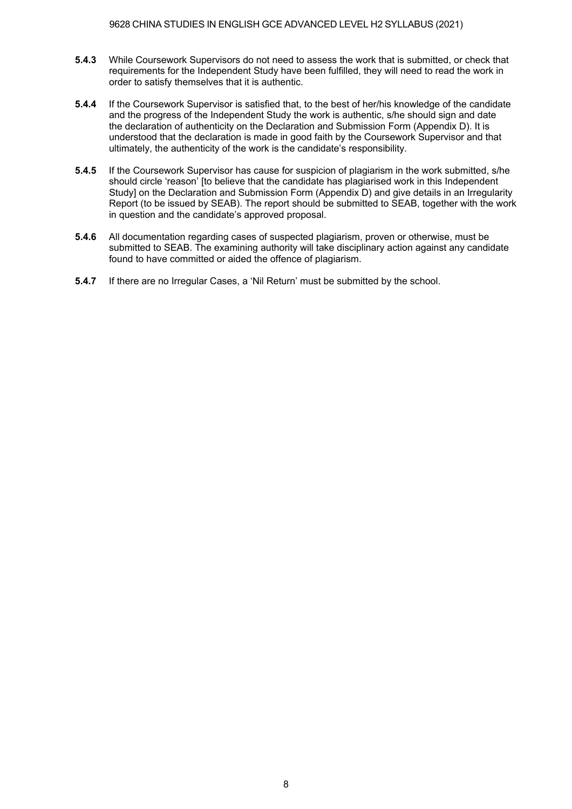- **5.4.3** While Coursework Supervisors do not need to assess the work that is submitted, or check that requirements for the Independent Study have been fulfilled, they will need to read the work in order to satisfy themselves that it is authentic.
- **5.4.4** If the Coursework Supervisor is satisfied that, to the best of her/his knowledge of the candidate and the progress of the Independent Study the work is authentic, s/he should sign and date the declaration of authenticity on the Declaration and Submission Form (Appendix D). It is understood that the declaration is made in good faith by the Coursework Supervisor and that ultimately, the authenticity of the work is the candidate's responsibility.
- **5.4.5** If the Coursework Supervisor has cause for suspicion of plagiarism in the work submitted, s/he should circle 'reason' [to believe that the candidate has plagiarised work in this Independent Study] on the Declaration and Submission Form (Appendix D) and give details in an Irregularity Report (to be issued by SEAB). The report should be submitted to SEAB, together with the work in question and the candidate's approved proposal.
- **5.4.6** All documentation regarding cases of suspected plagiarism, proven or otherwise, must be submitted to SEAB. The examining authority will take disciplinary action against any candidate found to have committed or aided the offence of plagiarism.
- **5.4.7** If there are no Irregular Cases, a 'Nil Return' must be submitted by the school.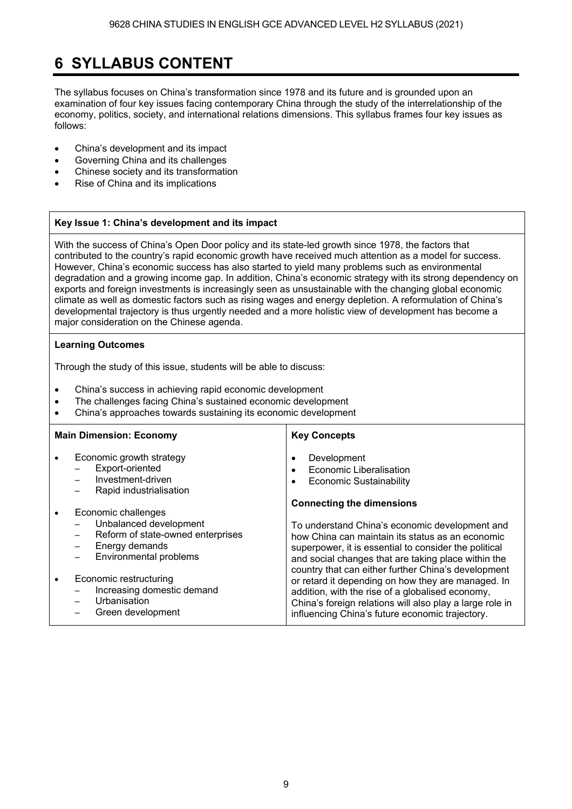# **6 SYLLABUS CONTENT**

The syllabus focuses on China's transformation since 1978 and its future and is grounded upon an examination of four key issues facing contemporary China through the study of the interrelationship of the economy, politics, society, and international relations dimensions. This syllabus frames four key issues as follows:

- China's development and its impact
- Governing China and its challenges
- Chinese society and its transformation
- Rise of China and its implications

## **Key Issue 1: Chinas development and its impact**

With the success of China's Open Door policy and its state-led growth since 1978, the factors that contributed to the country's rapid economic growth have received much attention as a model for success. However, China's economic success has also started to yield many problems such as environmental degradation and a growing income gap. In addition, China's economic strategy with its strong dependency on exports and foreign investments is increasingly seen as unsustainable with the changing global economic climate as well as domestic factors such as rising wages and energy depletion. A reformulation of China's developmental trajectory is thus urgently needed and a more holistic view of development has become a major consideration on the Chinese agenda.

#### **Learning Outcomes**

Through the study of this issue, students will be able to discuss:

- China's success in achieving rapid economic development
- The challenges facing China's sustained economic development
- China's approaches towards sustaining its economic development

| <b>Main Dimension: Economy</b>                                                                                                           | <b>Key Concepts</b>                                                                                                                                                                                                                                                          |
|------------------------------------------------------------------------------------------------------------------------------------------|------------------------------------------------------------------------------------------------------------------------------------------------------------------------------------------------------------------------------------------------------------------------------|
| Economic growth strategy<br>Export-oriented<br>Investment-driven<br>Rapid industrialisation                                              | Development<br>$\bullet$<br>Economic Liberalisation<br>$\bullet$<br><b>Economic Sustainability</b><br>$\bullet$                                                                                                                                                              |
| Economic challenges                                                                                                                      | <b>Connecting the dimensions</b>                                                                                                                                                                                                                                             |
| Unbalanced development<br>Reform of state-owned enterprises<br>—<br>Energy demands<br>Environmental problems<br>$\overline{\phantom{0}}$ | To understand China's economic development and<br>how China can maintain its status as an economic<br>superpower, it is essential to consider the political<br>and social changes that are taking place within the                                                           |
| Economic restructuring<br>Increasing domestic demand<br>Urbanisation<br>Green development                                                | country that can either further China's development<br>or retard it depending on how they are managed. In<br>addition, with the rise of a globalised economy,<br>China's foreign relations will also play a large role in<br>influencing China's future economic trajectory. |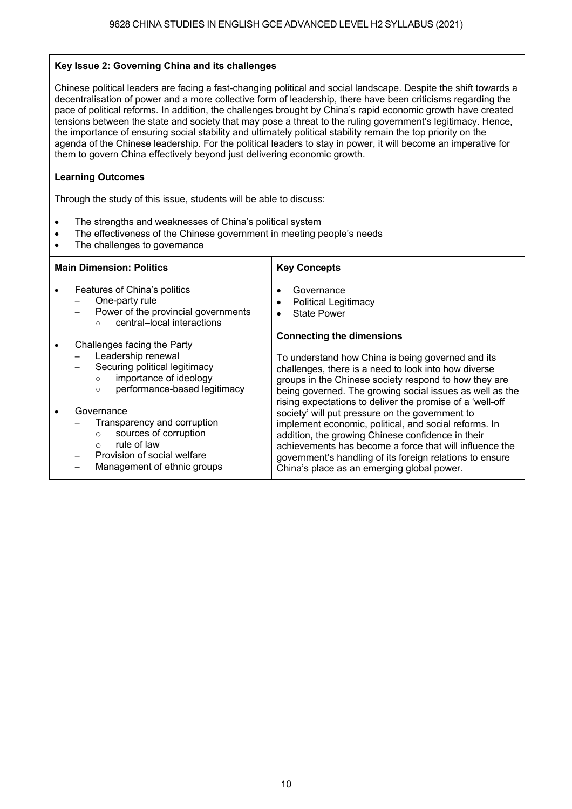#### **Key Issue 2: Governing China and its challenges**

Chinese political leaders are facing a fast-changing political and social landscape. Despite the shift towards a decentralisation of power and a more collective form of leadership, there have been criticisms regarding the pace of political reforms. In addition, the challenges brought by China's rapid economic growth have created tensions between the state and society that may pose a threat to the ruling government's legitimacy. Hence, the importance of ensuring social stability and ultimately political stability remain the top priority on the agenda of the Chinese leadership. For the political leaders to stay in power, it will become an imperative for them to govern China effectively beyond just delivering economic growth.

#### **Learning Outcomes**

Through the study of this issue, students will be able to discuss:

- The strengths and weaknesses of China's political system
- The effectiveness of the Chinese government in meeting people's needs
- The challenges to governance

| <b>Main Dimension: Politics</b>                                                                                                                                       | <b>Key Concepts</b>                                                                                                                                                                                                                                                                                                                |
|-----------------------------------------------------------------------------------------------------------------------------------------------------------------------|------------------------------------------------------------------------------------------------------------------------------------------------------------------------------------------------------------------------------------------------------------------------------------------------------------------------------------|
| Features of China's politics<br>One-party rule<br>Power of the provincial governments<br>central-local interactions<br>$\circ$                                        | Governance<br><b>Political Legitimacy</b><br><b>State Power</b>                                                                                                                                                                                                                                                                    |
| Challenges facing the Party<br>Leadership renewal<br>Securing political legitimacy<br>importance of ideology<br>$\circ$<br>performance-based legitimacy<br>$\circ$    | <b>Connecting the dimensions</b><br>To understand how China is being governed and its<br>challenges, there is a need to look into how diverse<br>groups in the Chinese society respond to how they are<br>being governed. The growing social issues as well as the<br>rising expectations to deliver the promise of a 'well-off    |
| Governance<br>Transparency and corruption<br>sources of corruption<br>$\circ$<br>rule of law<br>$\circ$<br>Provision of social welfare<br>Management of ethnic groups | society' will put pressure on the government to<br>implement economic, political, and social reforms. In<br>addition, the growing Chinese confidence in their<br>achievements has become a force that will influence the<br>government's handling of its foreign relations to ensure<br>China's place as an emerging global power. |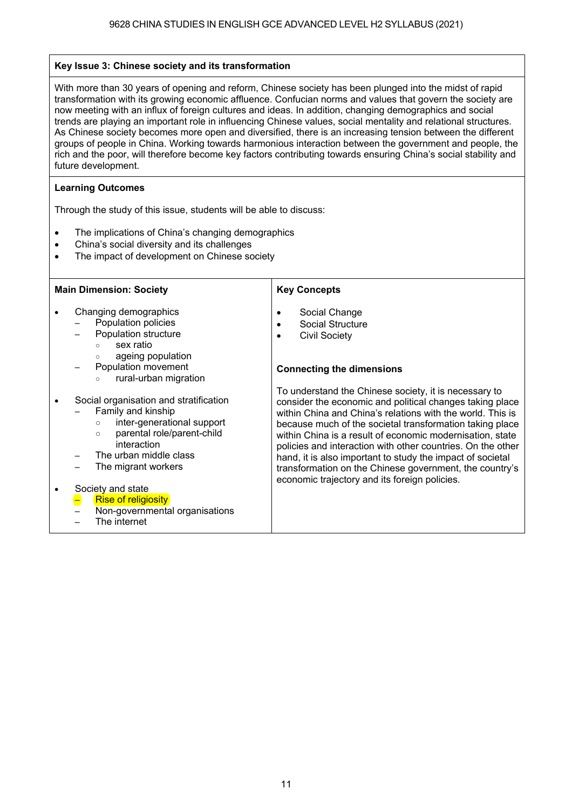#### **Key Issue 3: Chinese society and its transformation**

With more than 30 years of opening and reform, Chinese society has been plunged into the midst of rapid transformation with its growing economic affluence. Confucian norms and values that govern the society are now meeting with an influx of foreign cultures and ideas. In addition, changing demographics and social trends are playing an important role in influencing Chinese values, social mentality and relational structures. As Chinese society becomes more open and diversified, there is an increasing tension between the different groups of people in China. Working towards harmonious interaction between the government and people, the rich and the poor, will therefore become key factors contributing towards ensuring China's social stability and future development.

#### **Learning Outcomes**

Through the study of this issue, students will be able to discuss:

- The implications of China's changing demographics
- China's social diversity and its challenges
- The impact of development on Chinese society

#### **Main Dimension: Society**

- Changing demographics
	- Population policies Population structure
		- sex ratio
		-
		- ageing population Population movement
		- rural-urban migration
- Social organisation and stratification
	- Family and kinship
		- inter-generational support
		- parental role/parent-child
		- interaction
	- The urban middle class
	- The migrant workers

#### Society and state

- Rise of religiosity
	- Non-governmental organisations
- The internet

#### **Key Concepts**

- Social Change
- Social Structure
- **•** Civil Society

#### **Connecting the dimensions**

To understand the Chinese society, it is necessary to consider the economic and political changes taking place within China and China's relations with the world. This is because much of the societal transformation taking place within China is a result of economic modernisation, state policies and interaction with other countries. On the other hand, it is also important to study the impact of societal transformation on the Chinese government, the country's economic trajectory and its foreign policies.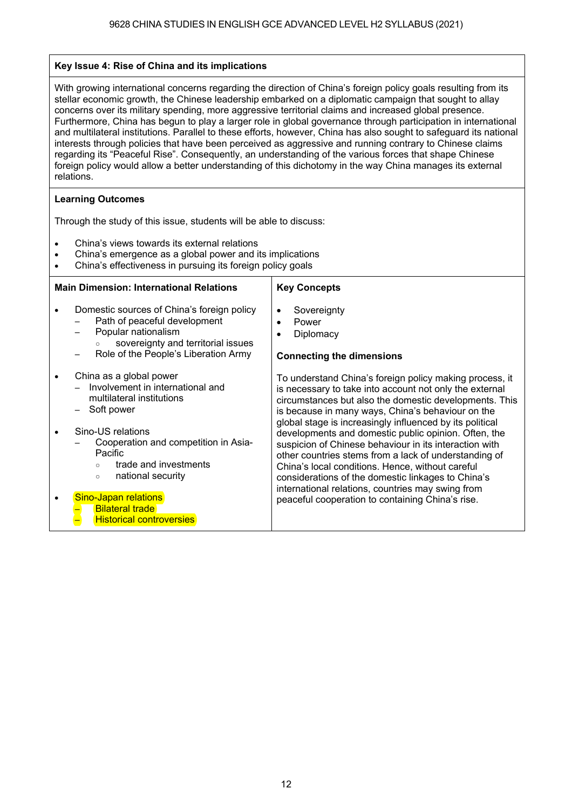#### **Key Issue 4: Rise of China and its implications**

With growing international concerns regarding the direction of China's foreign policy goals resulting from its stellar economic growth, the Chinese leadership embarked on a diplomatic campaign that sought to allay concerns over its military spending, more aggressive territorial claims and increased global presence. Furthermore, China has begun to play a larger role in global governance through participation in international and multilateral institutions. Parallel to these efforts, however, China has also sought to safeguard its national interests through policies that have been perceived as aggressive and running contrary to Chinese claims regarding its "Peaceful Rise". Consequently, an understanding of the various forces that shape Chinese foreign policy would allow a better understanding of this dichotomy in the way China manages its external relations.

#### **Learning Outcomes**

Through the study of this issue, students will be able to discuss:

- China's views towards its external relations
- China's emergence as a global power and its implications
- China's effectiveness in pursuing its foreign policy goals

#### **Main Dimension: International Relations**

- Domestic sources of China's foreign policy Path of peaceful development
	- Popular nationalism
	- sovereignty and territorial issues
	- Role of the People's Liberation Army
- China as a global power
	- Involvement in international and multilateral institutions
	- Soft power
- Sino-US relations
	- Cooperation and competition in Asia-Pacific
		- trade and investments
			- national security

#### **Sino-Japan relations**

- **Bilateral trade**
- **Historical controversies**

#### **Key Concepts**

- Sovereignty
- Power
- Diplomacy

#### **Connecting the dimensions**

To understand China's foreign policy making process, it is necessary to take into account not only the external circumstances but also the domestic developments. This is because in many ways, China's behaviour on the global stage is increasingly influenced by its political developments and domestic public opinion. Often, the suspicion of Chinese behaviour in its interaction with other countries stems from a lack of understanding of China's local conditions. Hence, without careful considerations of the domestic linkages to China's international relations, countries may swing from peaceful cooperation to containing China's rise.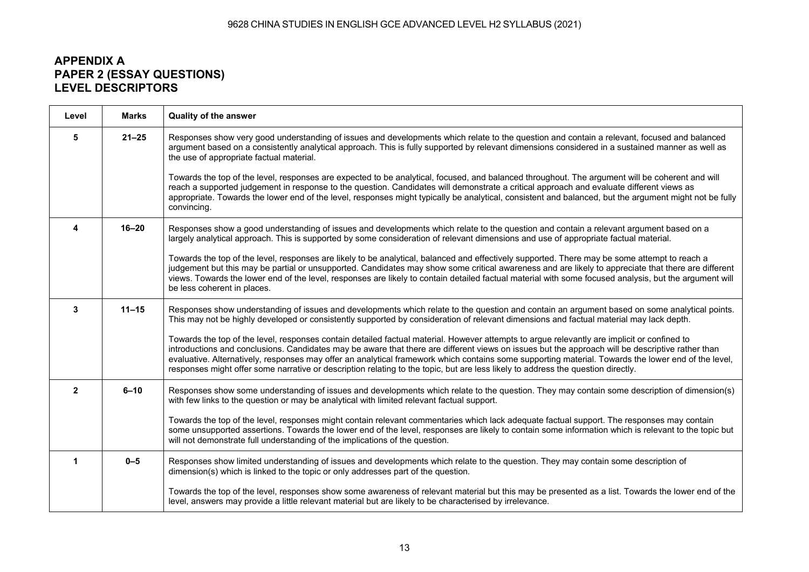#### 9628 CHINA STUDIES IN ENGLISH GCE ADVANCED LEVEL H2 SYLLABUS (2021)

# **APPENDIX A PAPER 2 (ESSAY QUESTIONS) LEVEL DESCRIPTORS**

| Level          | <b>Marks</b> | <b>Quality of the answer</b>                                                                                                                                                                                                                                                                                                                                                                                                                                                                                                                                                               |  |
|----------------|--------------|--------------------------------------------------------------------------------------------------------------------------------------------------------------------------------------------------------------------------------------------------------------------------------------------------------------------------------------------------------------------------------------------------------------------------------------------------------------------------------------------------------------------------------------------------------------------------------------------|--|
| 5              | $21 - 25$    | Responses show very good understanding of issues and developments which relate to the question and contain a relevant, focused and balanced<br>argument based on a consistently analytical approach. This is fully supported by relevant dimensions considered in a sustained manner as well as<br>the use of appropriate factual material.                                                                                                                                                                                                                                                |  |
|                |              | Towards the top of the level, responses are expected to be analytical, focused, and balanced throughout. The argument will be coherent and will<br>reach a supported judgement in response to the question. Candidates will demonstrate a critical approach and evaluate different views as<br>appropriate. Towards the lower end of the level, responses might typically be analytical, consistent and balanced, but the argument might not be fully<br>convincing.                                                                                                                       |  |
| 4              | $16 - 20$    | Responses show a good understanding of issues and developments which relate to the question and contain a relevant argument based on a<br>largely analytical approach. This is supported by some consideration of relevant dimensions and use of appropriate factual material.                                                                                                                                                                                                                                                                                                             |  |
|                |              | Towards the top of the level, responses are likely to be analytical, balanced and effectively supported. There may be some attempt to reach a<br>judgement but this may be partial or unsupported. Candidates may show some critical awareness and are likely to appreciate that there are different<br>views. Towards the lower end of the level, responses are likely to contain detailed factual material with some focused analysis, but the argument will<br>be less coherent in places.                                                                                              |  |
| 3              | $11 - 15$    | Responses show understanding of issues and developments which relate to the question and contain an argument based on some analytical points.<br>This may not be highly developed or consistently supported by consideration of relevant dimensions and factual material may lack depth.                                                                                                                                                                                                                                                                                                   |  |
|                |              | Towards the top of the level, responses contain detailed factual material. However attempts to argue relevantly are implicit or confined to<br>introductions and conclusions. Candidates may be aware that there are different views on issues but the approach will be descriptive rather than<br>evaluative. Alternatively, responses may offer an analytical framework which contains some supporting material. Towards the lower end of the level,<br>responses might offer some narrative or description relating to the topic, but are less likely to address the question directly. |  |
| $\overline{2}$ | $6 - 10$     | Responses show some understanding of issues and developments which relate to the question. They may contain some description of dimension(s)<br>with few links to the question or may be analytical with limited relevant factual support.                                                                                                                                                                                                                                                                                                                                                 |  |
|                |              | Towards the top of the level, responses might contain relevant commentaries which lack adequate factual support. The responses may contain<br>some unsupported assertions. Towards the lower end of the level, responses are likely to contain some information which is relevant to the topic but<br>will not demonstrate full understanding of the implications of the question.                                                                                                                                                                                                         |  |
|                | $0 - 5$      | Responses show limited understanding of issues and developments which relate to the question. They may contain some description of<br>dimension(s) which is linked to the topic or only addresses part of the question.                                                                                                                                                                                                                                                                                                                                                                    |  |
|                |              | Towards the top of the level, responses show some awareness of relevant material but this may be presented as a list. Towards the lower end of the<br>level, answers may provide a little relevant material but are likely to be characterised by irrelevance.                                                                                                                                                                                                                                                                                                                             |  |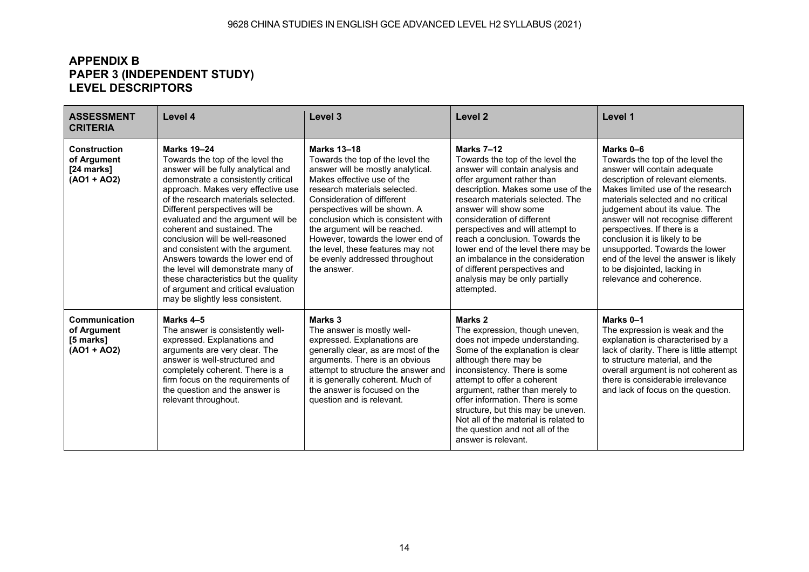# **APPENDIX B PAPER 3 (INDEPENDENT STUDY) LEVEL DESCRIPTORS**

| <b>ASSESSMENT</b><br><b>CRITERIA</b>                                                                                                                                                                                                                                                                                                                                                                                                                                                                                                                                                                                                                | Level 4                                                                                                                                                                                                                                                                                                                                                                                                                                                                                                                                                                                         | Level <sub>3</sub>                                                                                                                                                                                                                                                                                                                                                                                                                 | Level <sub>2</sub>                                                                                                                                                                                                                                                                                                                                                                                                                                                                    | Level 1                                                                                                                                                                                                                                                                                                                                                                                                                                                                       |
|-----------------------------------------------------------------------------------------------------------------------------------------------------------------------------------------------------------------------------------------------------------------------------------------------------------------------------------------------------------------------------------------------------------------------------------------------------------------------------------------------------------------------------------------------------------------------------------------------------------------------------------------------------|-------------------------------------------------------------------------------------------------------------------------------------------------------------------------------------------------------------------------------------------------------------------------------------------------------------------------------------------------------------------------------------------------------------------------------------------------------------------------------------------------------------------------------------------------------------------------------------------------|------------------------------------------------------------------------------------------------------------------------------------------------------------------------------------------------------------------------------------------------------------------------------------------------------------------------------------------------------------------------------------------------------------------------------------|---------------------------------------------------------------------------------------------------------------------------------------------------------------------------------------------------------------------------------------------------------------------------------------------------------------------------------------------------------------------------------------------------------------------------------------------------------------------------------------|-------------------------------------------------------------------------------------------------------------------------------------------------------------------------------------------------------------------------------------------------------------------------------------------------------------------------------------------------------------------------------------------------------------------------------------------------------------------------------|
| <b>Construction</b><br>of Argument<br>[24 marks]<br>$(AO1 + AO2)$                                                                                                                                                                                                                                                                                                                                                                                                                                                                                                                                                                                   | <b>Marks 19-24</b><br>Towards the top of the level the<br>answer will be fully analytical and<br>demonstrate a consistently critical<br>approach. Makes very effective use<br>of the research materials selected.<br>Different perspectives will be<br>evaluated and the argument will be<br>coherent and sustained. The<br>conclusion will be well-reasoned<br>and consistent with the argument.<br>Answers towards the lower end of<br>the level will demonstrate many of<br>these characteristics but the quality<br>of argument and critical evaluation<br>may be slightly less consistent. | <b>Marks 13-18</b><br>Towards the top of the level the<br>answer will be mostly analytical.<br>Makes effective use of the<br>research materials selected.<br>Consideration of different<br>perspectives will be shown. A<br>conclusion which is consistent with<br>the argument will be reached.<br>However, towards the lower end of<br>the level, these features may not<br>be evenly addressed throughout<br>the answer.        | Marks 7-12<br>Towards the top of the level the<br>answer will contain analysis and<br>offer argument rather than<br>description. Makes some use of the<br>research materials selected. The<br>answer will show some<br>consideration of different<br>perspectives and will attempt to<br>reach a conclusion. Towards the<br>lower end of the level there may be<br>an imbalance in the consideration<br>of different perspectives and<br>analysis may be only partially<br>attempted. | Marks 0-6<br>Towards the top of the level the<br>answer will contain adequate<br>description of relevant elements.<br>Makes limited use of the research<br>materials selected and no critical<br>judgement about its value. The<br>answer will not recognise different<br>perspectives. If there is a<br>conclusion it is likely to be<br>unsupported. Towards the lower<br>end of the level the answer is likely<br>to be disjointed, lacking in<br>relevance and coherence. |
| Marks 4-5<br>Marks <sub>3</sub><br>Communication<br>of Argument<br>The answer is consistently well-<br>The answer is mostly well-<br>expressed. Explanations and<br>[5 marks]<br>expressed. Explanations are<br>$(AO1 + AO2)$<br>arguments are very clear. The<br>generally clear, as are most of the<br>answer is well-structured and<br>arguments. There is an obvious<br>completely coherent. There is a<br>attempt to structure the answer and<br>firm focus on the requirements of<br>it is generally coherent. Much of<br>the answer is focused on the<br>the question and the answer is<br>relevant throughout.<br>question and is relevant. |                                                                                                                                                                                                                                                                                                                                                                                                                                                                                                                                                                                                 | Marks <sub>2</sub><br>The expression, though uneven,<br>does not impede understanding.<br>Some of the explanation is clear<br>although there may be<br>inconsistency. There is some<br>attempt to offer a coherent<br>argument, rather than merely to<br>offer information. There is some<br>structure, but this may be uneven.<br>Not all of the material is related to<br>the question and not all of the<br>answer is relevant. | Marks 0-1<br>The expression is weak and the<br>explanation is characterised by a<br>lack of clarity. There is little attempt<br>to structure material, and the<br>overall argument is not coherent as<br>there is considerable irrelevance<br>and lack of focus on the question.                                                                                                                                                                                                      |                                                                                                                                                                                                                                                                                                                                                                                                                                                                               |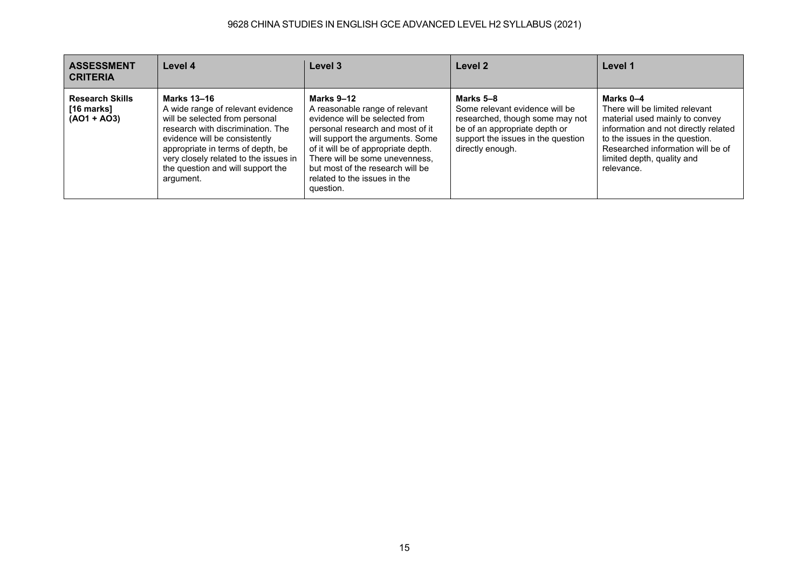# 9628 CHINA STUDIES IN ENGLISH GCE ADVANCED LEVEL H2 SYLLABUS (2021)

| <b>ASSESSMENT</b><br><b>CRITERIA</b>                  | Level 4                                                                                                                                                                                                                                                                                         | Level 3                                                                                                                                                                                                                                                                                                          | Level 2                                                                                                                                                                   | Level 1                                                                                                                                                                                                                                  |
|-------------------------------------------------------|-------------------------------------------------------------------------------------------------------------------------------------------------------------------------------------------------------------------------------------------------------------------------------------------------|------------------------------------------------------------------------------------------------------------------------------------------------------------------------------------------------------------------------------------------------------------------------------------------------------------------|---------------------------------------------------------------------------------------------------------------------------------------------------------------------------|------------------------------------------------------------------------------------------------------------------------------------------------------------------------------------------------------------------------------------------|
| <b>Research Skills</b><br>[16 marks]<br>$(AO1 + AO3)$ | <b>Marks 13-16</b><br>A wide range of relevant evidence<br>will be selected from personal<br>research with discrimination. The<br>evidence will be consistently<br>appropriate in terms of depth, be<br>very closely related to the issues in<br>the question and will support the<br>argument. | Marks 9-12<br>A reasonable range of relevant<br>evidence will be selected from<br>personal research and most of it<br>will support the arguments. Some<br>of it will be of appropriate depth.<br>There will be some unevenness,<br>but most of the research will be<br>related to the issues in the<br>question. | Marks 5-8<br>Some relevant evidence will be<br>researched, though some may not<br>be of an appropriate depth or<br>support the issues in the question<br>directly enough. | Marks 0-4<br>There will be limited relevant<br>material used mainly to convey<br>information and not directly related<br>to the issues in the question.<br>Researched information will be of<br>limited depth, quality and<br>relevance. |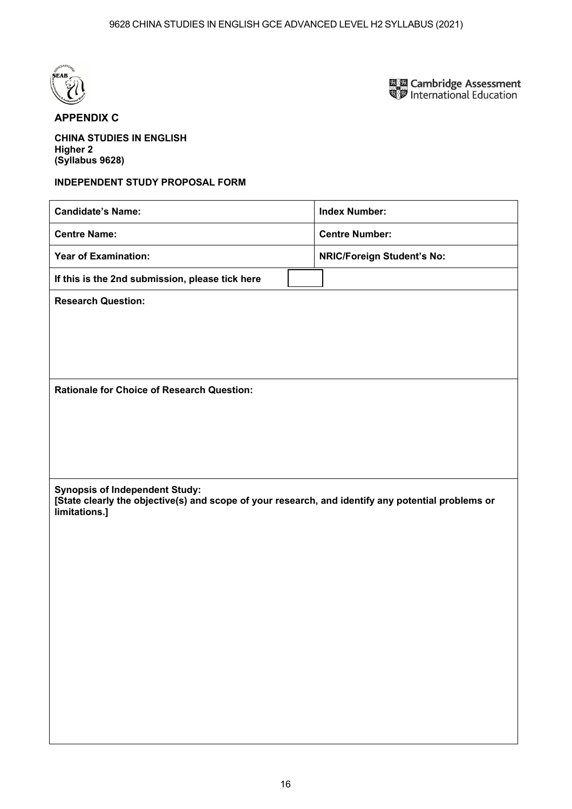

**國國 Cambridge Assessment<br>電罗 International Education** 

# **APPENDIX C**

**CHINA STUDIES IN ENGLISH Higher 2 (Syllabus 9628)** 

#### **INDEPENDENT STUDY PROPOSAL FORM**

| <b>Candidate's Name:</b>                                                                                                                                     | <b>Index Number:</b>              |
|--------------------------------------------------------------------------------------------------------------------------------------------------------------|-----------------------------------|
| <b>Centre Name:</b>                                                                                                                                          | <b>Centre Number:</b>             |
| <b>Year of Examination:</b>                                                                                                                                  | <b>NRIC/Foreign Student's No:</b> |
| If this is the 2nd submission, please tick here                                                                                                              |                                   |
| <b>Research Question:</b>                                                                                                                                    |                                   |
|                                                                                                                                                              |                                   |
|                                                                                                                                                              |                                   |
|                                                                                                                                                              |                                   |
| <b>Rationale for Choice of Research Question:</b>                                                                                                            |                                   |
|                                                                                                                                                              |                                   |
|                                                                                                                                                              |                                   |
|                                                                                                                                                              |                                   |
| <b>Synopsis of Independent Study:</b><br>[State clearly the objective(s) and scope of your research, and identify any potential problems or<br>limitations.] |                                   |
|                                                                                                                                                              |                                   |
|                                                                                                                                                              |                                   |
|                                                                                                                                                              |                                   |
|                                                                                                                                                              |                                   |
|                                                                                                                                                              |                                   |
|                                                                                                                                                              |                                   |
|                                                                                                                                                              |                                   |
|                                                                                                                                                              |                                   |
|                                                                                                                                                              |                                   |
|                                                                                                                                                              |                                   |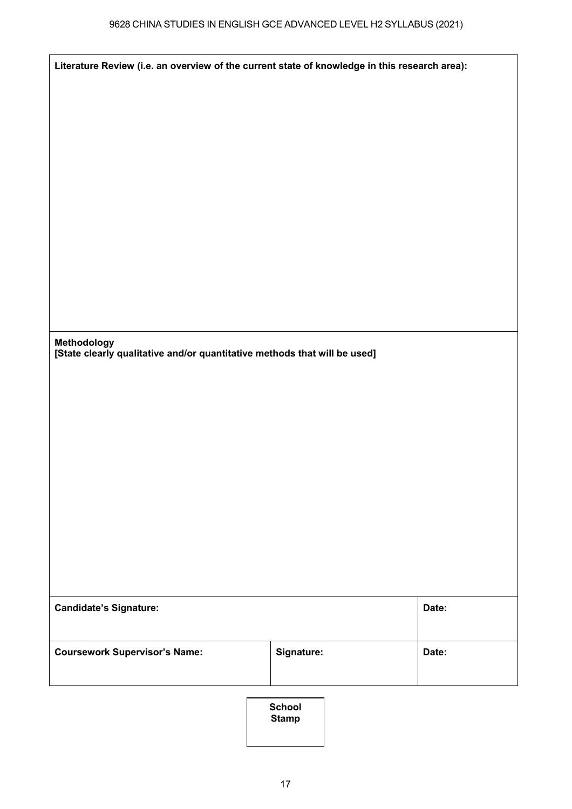| Literature Review (i.e. an overview of the current state of knowledge in this research area): |            |       |
|-----------------------------------------------------------------------------------------------|------------|-------|
|                                                                                               |            |       |
|                                                                                               |            |       |
|                                                                                               |            |       |
|                                                                                               |            |       |
|                                                                                               |            |       |
|                                                                                               |            |       |
|                                                                                               |            |       |
|                                                                                               |            |       |
|                                                                                               |            |       |
| Methodology<br>[State clearly qualitative and/or quantitative methods that will be used]      |            |       |
|                                                                                               |            |       |
|                                                                                               |            |       |
|                                                                                               |            |       |
|                                                                                               |            |       |
|                                                                                               |            |       |
|                                                                                               |            |       |
|                                                                                               |            |       |
|                                                                                               |            |       |
| <b>Candidate's Signature:</b>                                                                 |            | Date: |
|                                                                                               |            |       |
| <b>Coursework Supervisor's Name:</b>                                                          | Signature: | Date: |
|                                                                                               |            |       |

**School School Stamp**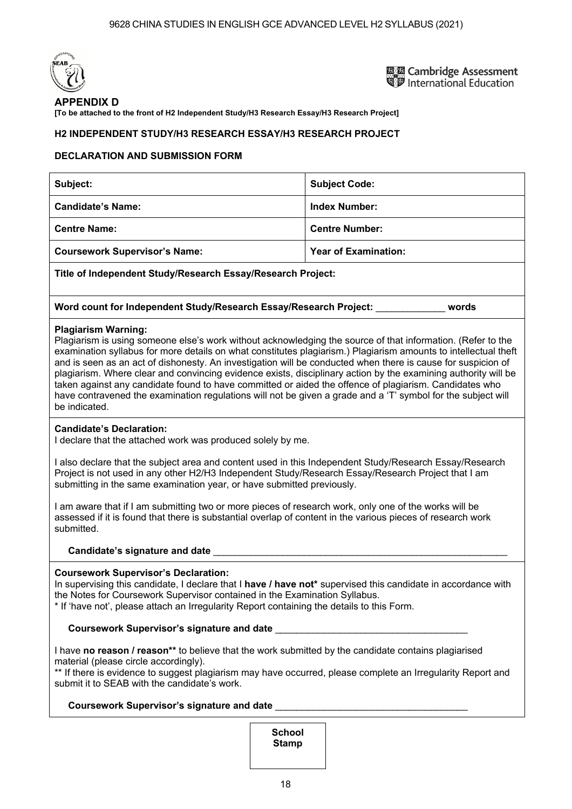

**EN Cambridge Assessment** International Education

#### **APPENDIX D**

**[To be attached to the front of H2 Independent Study/H3 Research Essay/H3 Research Project]** 

#### **H2 INDEPENDENT STUDY/H3 RESEARCH ESSAY/H3 RESEARCH PROJECT**

#### **DECLARATION AND SUBMISSION FORM**

| Subject:                                                    | <b>Subject Code:</b>        |  |
|-------------------------------------------------------------|-----------------------------|--|
| <b>Candidate's Name:</b>                                    | <b>Index Number:</b>        |  |
| <b>Centre Name:</b>                                         | <b>Centre Number:</b>       |  |
| <b>Coursework Supervisor's Name:</b>                        | <b>Year of Examination:</b> |  |
| Title of Independent Study/Research Essay/Research Project: |                             |  |

|  | Word count for Independent Study/Research Essay/Research Project: |  | words |
|--|-------------------------------------------------------------------|--|-------|
|  |                                                                   |  |       |

#### **Plagiarism Warning:**

Plagiarism is using someone else's work without acknowledging the source of that information. (Refer to the examination syllabus for more details on what constitutes plagiarism.) Plagiarism amounts to intellectual theft and is seen as an act of dishonesty. An investigation will be conducted when there is cause for suspicion of plagiarism. Where clear and convincing evidence exists, disciplinary action by the examining authority will be taken against any candidate found to have committed or aided the offence of plagiarism. Candidates who have contravened the examination regulations will not be given a grade and a 'T' symbol for the subject will be indicated.

#### **Candidates Declaration:**

I declare that the attached work was produced solely by me.

I also declare that the subject area and content used in this Independent Study/Research Essay/Research Project is not used in any other H2/H3 Independent Study/Research Essay/Research Project that I am submitting in the same examination year, or have submitted previously.

I am aware that if I am submitting two or more pieces of research work, only one of the works will be assessed if it is found that there is substantial overlap of content in the various pieces of research work submitted.

#### **Candidates signature and date** \_\_\_\_\_\_\_\_\_\_\_\_\_\_\_\_\_\_\_\_\_\_\_\_\_\_\_\_\_\_\_\_\_\_\_\_\_\_\_\_\_\_\_\_\_\_\_\_\_\_\_\_\_\_\_

#### **Coursework Supervisors Declaration:**

In supervising this candidate, I declare that I **have / have not\*** supervised this candidate in accordance with the Notes for Coursework Supervisor contained in the Examination Syllabus.

\* If 'have not', please attach an Irregularity Report containing the details to this Form.

#### **Coursework Supervisors signature and date** \_\_\_\_\_\_\_\_\_\_\_\_\_\_\_\_\_\_\_\_\_\_\_\_\_\_\_\_\_\_\_\_\_\_\_\_

I have **no reason / reason\*\*** to believe that the work submitted by the candidate contains plagiarised material (please circle accordingly).

\*\* If there is evidence to suggest plagiarism may have occurred, please complete an Irregularity Report and submit it to SEAB with the candidate's work.

#### **Coursework Supervisors signature and date** \_\_\_\_\_\_\_\_\_\_\_\_\_\_\_\_\_\_\_\_\_\_\_\_\_\_\_\_\_\_\_\_\_\_\_\_

**School Stamp**